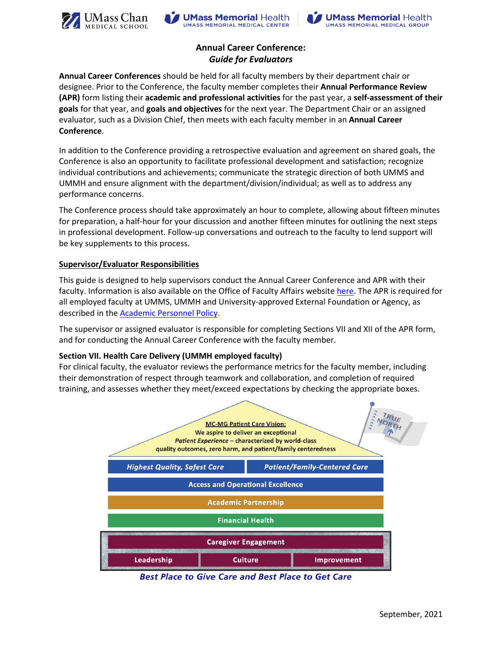





# **Annual Career Conference:** *Guide for Evaluators*

**Annual Career Conferences** should be held for all faculty members by their department chair or designee. Prior to the Conference, the faculty member completes their **Annual Performance Review (APR)** form listing their **academic and professional activities** for the past year, a **self-assessment of their goals** for that year, and **goals and objectives** for the next year. The Department Chair or an assigned evaluator, such as a Division Chief, then meets with each faculty member in an **Annual Career Conference**.

In addition to the Conference providing a retrospective evaluation and agreement on shared goals, the Conference is also an opportunity to facilitate professional development and satisfaction; recognize individual contributions and achievements; communicate the strategic direction of both UMMS and UMMH and ensure alignment with the department/division/individual; as well as to address any performance concerns.

The Conference process should take approximately an hour to complete, allowing about fifteen minutes for preparation, a half-hour for your discussion and another fifteen minutes for outlining the next steps in professional development. Follow-up conversations and outreach to the faculty to lend support will be key supplements to this process.

#### **Supervisor/Evaluator Responsibilities**

This guide is designed to help supervisors conduct the Annual Career Conference and APR with their faculty. Information is also available on the Office of Faculty Affairs website [here.](http://www.umassmed.edu/ofa/academic/faculty-reviews/apr) The APR is required for all employed faculty at UMMS, UMMH and University-approved External Foundation or Agency, as described in the [Academic Personnel Policy.](https://www.umassmed.edu/ofa/governance-policies/academic-personnel-policy/Article5/#APP5.5)

The supervisor or assigned evaluator is responsible for completing Sections VII and XII of the APR form, and for conducting the Annual Career Conference with the faculty member.

### **Section VII. Health Care Delivery (UMMH employed faculty)**

For clinical faculty, the evaluator reviews the performance metrics for the faculty member, including their demonstration of respect through teamwork and collaboration, and completion of required training, and assesses whether they meet/exceed expectations by checking the appropriate boxes.



**Best Place to Give Care and Best Place to Get Care**